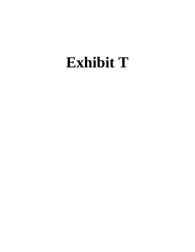# **Exhibit T**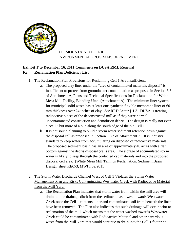

### UTE MOUNTAIN UTE TRIBE ENVIRONMENTAL PROGRAMS DEPARTMENT

## **Exhibit T to December 16, 2011 Comments on DUSA RML Renewal Re: Reclamation Plan Deficiency List**

- 1. The Reclamation Plan Provisions for Reclaiming Cell 1 Are Insufficient.
	- a. The proposed clay liner under the "area of contaminated materials disposal" is insufficient to protect from groundwater contamination as proposed in Section 3.3 of Attachment A, Plans and Technical Specifications for Reclamation for White Mesa Mill Facility, Blanding Utah (Attachment A). The minimum liner system for municipal solid waste has at least one synthetic flexible membrane liner of 60 mm thickness over 24 inches of clay. *See* RRD Letter § 1.3. DUSA is treating radioactive pieces of the deconstructed mill as if they were normal uncontaminated construction and demolition debris. The design is really not even a "cell," but more of a pile along the south edge of the old Cell 1.
	- b. It is not sound planning to build a storm water sediment retention basin against the disposal cell as proposed in Section 1.3.e of Attachment A. It is industry standard to keep water from accumulating on disposed of radioactive materials. The proposed sediment basin has an area of approximately 40 acres with a flat bottom against the debris disposal (cell) area. The storage of accumulated storm water is likely to seep through the contacted cap materials and into the proposed disposal cell area. [White Mesa Mill Tailings Reclamation, Sediment Basin Design, sheet REC-3, MWH, 09/2011]
- 2. The Storm Water Discharge Channel West of Cell 1 Violates the Storm Water Management Plan and Risks Contaminating Westwater Creek with Radioactive Material from the Mill Yard.
	- a. The Reclamation Plan indicates that storm water from within the mill area will drain out the drainage ditch from the sediment basin west towards Westwater Creek once the Cell 1 contents, liner and contaminated soil from beneath the liner have been removed. The Plan also indicates that such drainage will occur prior to reclamation of the mill, which means that the water washed towards Westwater Creek could be contaminated with Radioactive Material and other hazardous waste from the Mill Yard that would continue to drain into the Cell 1 footprint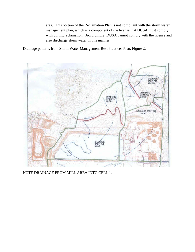area. This portion of the Reclamation Plan is not compliant with the storm water management plan, which is a component of the license that DUSA must comply with during reclamation. Accordingly, DUSA cannot comply with the license and also discharge storm water in this manner.

Drainage patterns from Storm Water Management Best Practices Plan, Figure 2:



NOTE DRAINAGE FROM MILL AREA INTO CELL 1.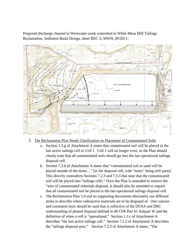Proposed discharge channel to Westwater creek watershed in White Mesa Mill Tailings Reclamation, Sediment Basin Design, sheet REC-3, MWH, 09/2011:



- 3. The Reclamation Plan Needs Clarification on Placement of Contaminated Soils
	- a. Section 1.3.g of Attachment A states that contaminated soil will be placed in the last active tailings cell *or Cell 1*. Cell 1 will no longer exist, so the Plan should clearly state that all contaminated soils should go into the last operational tailings disposal cell.
	- b. Section 7.3.6 of Attachment A states that "contaminated soil or sand will be placed outside of the items…" [in the disposal cell, with "items" being mill parts]. This directly contradicts Sections 7.2.3 and 7.3.3 that state that the contaminated soil will be placed into "tailings cells." Once the Plan is amended to remove the "area of contaminated materials disposal, it should also be amended to require that all contaminated soil be placed in the last operational tailings disposal cell.
	- c. The Reclamation Plan 5.0 and its supporting documents alternately use different terms to describe where radioactive materials are to be disposed of. One concise and consistent term should be used that is reflective of the DUSA and DRC understanding of phased disposal defined in 40 CFR Part 61 Subpart W and the definition of when a cell is "operational." Section 1.3.c of Attachment A describes "the last active tailings cell." Section 7.2.2 of Attachment A describes the "tailings disposal area." Section 7.2.3 of Attachment A states, "The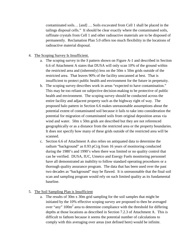contaminated soils… [and] … Soils excavated from Cell 1 shall be placed in the tailings disposal cells." It should be clear exactly where the contaminated soils, raffinate crystals from Cell 1 and other radioactive materials are to be disposed of permanently. Reclamation Plan 5.0 offers too much flexibility in the locations of radioactive material disposal.

#### 4. The Scoping Survey Is Insufficient.

- a. The scoping survey in the *S* pattern shown on Figure A-1 and described in Section 6.6 of Attachment A states that DUSA will only scan 10% of the ground within the restricted area and (inherently) less on the 50m x 50m grids outside of the restricted area. That leaves 90% of the facility unscanned at best. That is insufficient to protect public health and environment for the future in perpetuity.
- b. The scoping survey describes work in areas "expected to have contamination." This may be too reliant on subjective decision-making to be protective of public health and environment. The scoping survey should be conducted across the entire facility and adjacent property such as the highway right of way. The proposed halo pattern in Section 6.6 makes unreasonable assumptions about the potential extent of contaminated soil because it fails to take into consideration the potential for migration of contaminated soils from original deposition areas via wind and water. 50m x 50m grids are described but they are not referenced geographically or as a distance from the restricted area or the property boundaries. It does not specify how many of these grids outside of the restricted area will be scanned.
- c. Section 6.6 of Attachment A also relies on antiquated data to determine the radium "background" as 0.93 pCi/g from 16 years of monitoring conducted during the 1980's and 1990's when there was limited or no quality control that can be verified. DUSA, IUC, Umetco and Energy Fuels monitoring personnel have all demonstrated an inability to follow standard operating procedures or a thorough quality assurance program. The data that has been used over the past two decades as "background" may be flawed. It is unreasonable that the final soil scan and sampling program would rely on such limited quality as its fundamental baseline.

#### 5. The Soil Sampling Plan is Insufficient

a. The results of 30m x 30m grid sampling for the soil samples that might be initiated by the 10% effective scoping survey are proposed to then be averaged over "any" 100m<sup>2</sup> area to determine compliance with the threshold for differing depths at those locations as described in Section 7.2.3 of Attachment A. This is difficult to fathom because it seems the potential number of calculations to comply with this averaging over areas (not defined here) would be infinite.